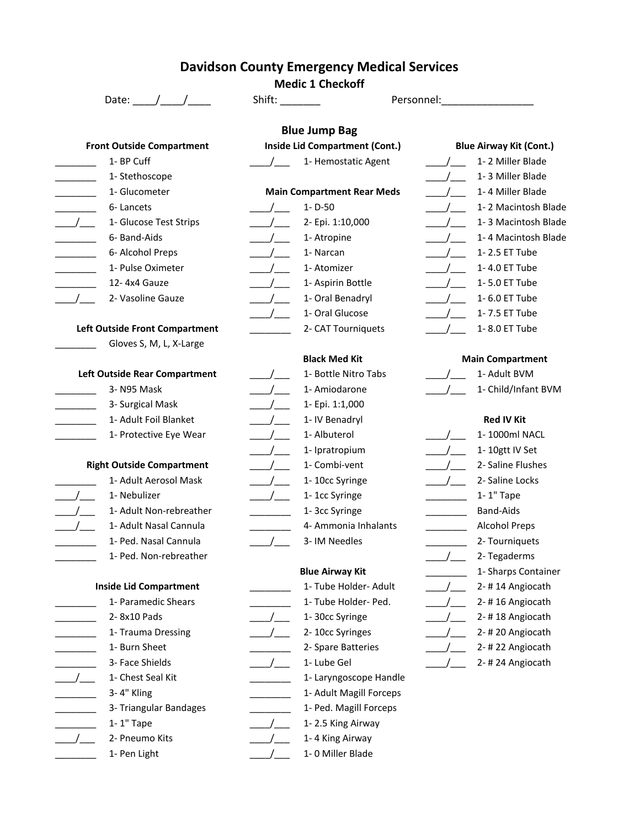## **Davidson County Emergency Medical Services**

|                                                                    | <b>Medic 1 Checkoff</b>               |                                  |
|--------------------------------------------------------------------|---------------------------------------|----------------------------------|
| Date: $/$ /                                                        | Shift: <b>Shift:</b>                  | Personnel:                       |
|                                                                    | <b>Blue Jump Bag</b>                  |                                  |
| <b>Front Outside Compartment</b>                                   | <b>Inside Lid Compartment (Cont.)</b> | <b>Blue Airway Kit (Cont.)</b>   |
| 1- BP Cuff                                                         | 1- Hemostatic Agent                   | 1-2 Miller Blade                 |
| 1- Stethoscope                                                     |                                       | 1-3 Miller Blade<br>$ -$         |
| 1- Glucometer                                                      | <b>Main Compartment Rear Meds</b>     | 1-4 Miller Blade<br>$\sqrt{2}$   |
| 6-Lancets                                                          | $1 - D - 50$<br>$\sqrt{2}$            | 1-2 Macintosh Blade              |
| $\frac{1}{2}$<br>1- Glucose Test Strips                            | $\sqrt{2}$<br>2- Epi. 1:10,000        | 1-3 Macintosh Blade              |
| 6- Band-Aids                                                       | $\frac{\ }{\ }$<br>1- Atropine        | 1-4 Macintosh Blade              |
| 6- Alcohol Preps                                                   | 1- Narcan<br>$\frac{1}{2}$            | 1-2.5 ET Tube<br>$\sqrt{2}$      |
| 1- Pulse Oximeter                                                  | $\frac{1}{2}$<br>1- Atomizer          | 1-4.0 ET Tube<br>$\frac{1}{2}$   |
| 12-4x4 Gauze                                                       | 1- Aspirin Bottle<br>$\sqrt{2}$       | 1-5.0 ET Tube                    |
| 2- Vasoline Gauze                                                  | 1- Oral Benadryl<br>$\frac{1}{1}$     | 1-6.0 ET Tube                    |
|                                                                    | 1- Oral Glucose<br>$\frac{\ }{\ }$    | 1-7.5 ET Tube                    |
| Left Outside Front Compartment                                     | 2- CAT Tourniquets                    | 1-8.0 ET Tube<br>$\overline{1}$  |
| Gloves S, M, L, X-Large                                            |                                       |                                  |
|                                                                    | <b>Black Med Kit</b>                  | <b>Main Compartment</b>          |
| Left Outside Rear Compartment                                      | 1- Bottle Nitro Tabs                  | 1- Adult BVM                     |
| 3- N95 Mask                                                        | 1- Amiodarone<br>$\frac{1}{2}$        | 1- Child/Infant BVM              |
| 3- Surgical Mask<br>$\mathcal{L} = \mathcal{L} \times \mathcal{L}$ | $\frac{1}{2}$<br>1- Epi. 1:1,000      |                                  |
| 1- Adult Foil Blanket                                              | 1- IV Benadryl                        | <b>Red IV Kit</b>                |
| 1- Protective Eye Wear                                             | 1-Albuterol<br>$\frac{1}{2}$          | 1-1000ml NACL                    |
|                                                                    | $\frac{1}{2}$<br>1- Ipratropium       | 1-10gtt IV Set                   |
| <b>Right Outside Compartment</b>                                   | 1- Combi-vent<br>$\frac{1}{2}$        | 2- Saline Flushes<br>$\sqrt{2}$  |
| 1- Adult Aerosol Mask                                              | $\frac{1}{2}$<br>1-10cc Syringe       | 2- Saline Locks<br>$\frac{1}{2}$ |
| 1- Nebulizer                                                       | 1-1cc Syringe<br>$\frac{1}{2}$        | 1-1" Tape                        |
| 1- Adult Non-rebreather                                            | 1-3cc Syringe                         | <b>Band-Aids</b>                 |
| 1- Adult Nasal Cannula                                             | 4- Ammonia Inhalants                  | <b>Alcohol Preps</b>             |
| 1- Ped. Nasal Cannula                                              | 3-IM Needles                          | 2- Tourniquets                   |
| 1- Ped. Non-rebreather                                             |                                       | 2- Tegaderms                     |
|                                                                    | <b>Blue Airway Kit</b>                | 1- Sharps Container              |
| <b>Inside Lid Compartment</b>                                      | 1- Tube Holder- Adult                 | 2-#14 Angiocath                  |
| 1- Paramedic Shears                                                | 1- Tube Holder- Ped.                  | 2-#16 Angiocath                  |
| 2-8x10 Pads                                                        | 1-30cc Syringe                        | 2-#18 Angiocath                  |
| 1- Trauma Dressing                                                 | 2-10cc Syringes                       | 2-#20 Angiocath                  |
| 1- Burn Sheet                                                      | 2- Spare Batteries                    | 2-#22 Angiocath                  |
| 3- Face Shields                                                    | 1- Lube Gel                           | 2-#24 Angiocath                  |
| 1- Chest Seal Kit                                                  | 1- Laryngoscope Handle                |                                  |
| 3-4" Kling                                                         | 1- Adult Magill Forceps               |                                  |
| 3- Triangular Bandages                                             | 1- Ped. Magill Forceps                |                                  |
| 1-1" Tape                                                          | 1-2.5 King Airway                     |                                  |
| 2- Pneumo Kits                                                     | 1-4 King Airway                       |                                  |
| 1- Pen Light                                                       | 1-0 Miller Blade                      |                                  |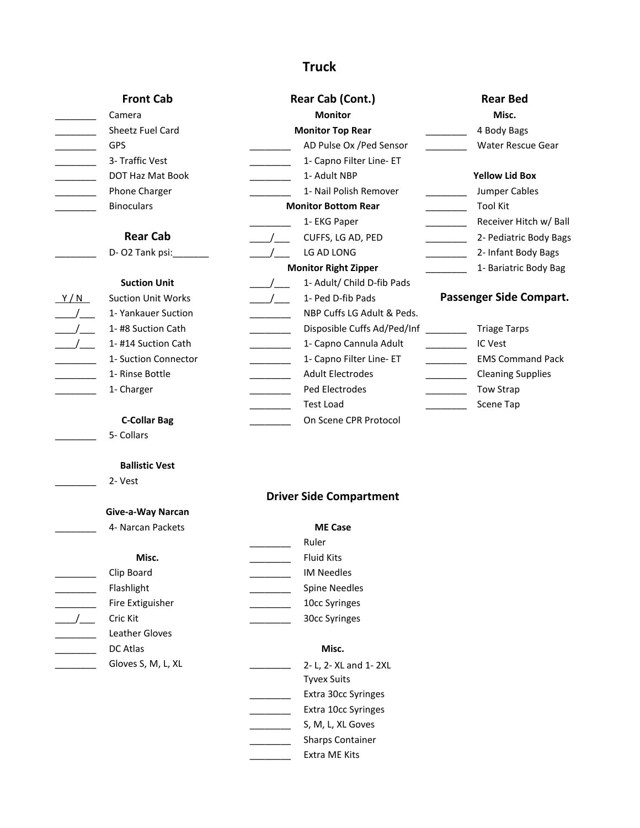## **Truck**

| <b>Front Cab</b>                                    | Rear Cab (Cont.)                                                      | <b>Rear Bed</b>                                        |
|-----------------------------------------------------|-----------------------------------------------------------------------|--------------------------------------------------------|
| Camera                                              | <b>Monitor</b>                                                        | Misc.                                                  |
| Sheetz Fuel Card                                    | <b>Monitor Top Rear</b>                                               | 4 Body Bags                                            |
| <b>GPS</b>                                          | AD Pulse Ox / Ped Sensor                                              | Water Rescue Gear                                      |
| 3- Traffic Vest                                     | 1- Capno Filter Line- ET                                              |                                                        |
| DOT Haz Mat Book                                    | 1- Adult NBP                                                          | <b>Yellow Lid Box</b>                                  |
| Phone Charger                                       | 1- Nail Polish Remover                                                | Jumper Cables                                          |
| <b>Binoculars</b>                                   | <b>Monitor Bottom Rear</b>                                            | <b>Tool Kit</b>                                        |
|                                                     | 1- EKG Paper                                                          | Receiver Hitch w/ Ball                                 |
| <b>Rear Cab</b>                                     | CUFFS, LG AD, PED<br>$\sqrt{2}$                                       | 2- Pediatric Body Bags<br><u> Alban Maria Sa</u>       |
| D- O2 Tank psi:                                     | LG AD LONG<br>$\overline{\phantom{a}}$                                | 2- Infant Body Bags                                    |
|                                                     | <b>Monitor Right Zipper</b>                                           | 1- Bariatric Body Bag                                  |
| <b>Suction Unit</b>                                 | 1- Adult/ Child D-fib Pads<br>$\sqrt{2}$                              |                                                        |
| <b>Suction Unit Works</b><br>Y/N                    | 1- Ped D-fib Pads<br>$\frac{1}{2}$                                    | Passenger Side Compart.                                |
| 1- Yankauer Suction<br>$\frac{1}{2}$                | NBP Cuffs LG Adult & Peds.                                            |                                                        |
| 1-#8 Suction Cath<br>$\frac{\ }{\ }$                | Disposible Cuffs Ad/Ped/Inf ________                                  | <b>Triage Tarps</b>                                    |
| $\frac{1}{1}$<br>1-#14 Suction Cath                 | 1- Capno Cannula Adult<br><u> Liberal College (College College)</u>   | IC Vest                                                |
| 1- Suction Connector<br><u> 1999 - Jan Jan Jawa</u> | 1- Capno Filter Line- ET<br><u> Liberal College (College College)</u> | <b>EMS Command Pack</b><br>$\overline{\phantom{a}}$    |
| 1- Rinse Bottle                                     | <b>Adult Electrodes</b>                                               | <b>Cleaning Supplies</b><br><b>Contract Contract</b>   |
| 1- Charger                                          | Ped Electrodes                                                        | <b>Tow Strap</b><br><u> Liberal College (College )</u> |
|                                                     | Test Load                                                             | Scene Tap<br>$\mathcal{L}^{\text{max}}_{\text{max}}$ . |
| <b>C-Collar Bag</b>                                 | On Scene CPR Protocol                                                 |                                                        |
| 5- Collars                                          |                                                                       |                                                        |
|                                                     |                                                                       |                                                        |
| <b>Ballistic Vest</b>                               |                                                                       |                                                        |
| 2- Vest                                             |                                                                       |                                                        |
|                                                     | <b>Driver Side Compartment</b>                                        |                                                        |
| Give-a-Way Narcan                                   |                                                                       |                                                        |
| 4- Narcan Packets                                   | <b>ME Case</b>                                                        |                                                        |
|                                                     | Ruler                                                                 |                                                        |
| Misc.                                               | <b>Fluid Kits</b>                                                     |                                                        |
| Clip Board                                          | <b>IM Needles</b>                                                     |                                                        |
| Flashlight                                          | <b>Spine Needles</b>                                                  |                                                        |
| Fire Extiguisher                                    | 10cc Syringes                                                         |                                                        |
| Cric Kit<br>$\overline{1}$                          | 30cc Syringes                                                         |                                                        |
| Leather Gloves                                      |                                                                       |                                                        |
| DC Atlas                                            | Misc.                                                                 |                                                        |
| Gloves S, M, L, XL                                  | 2- L, 2- XL and 1- 2XL                                                |                                                        |
|                                                     | <b>Tyvex Suits</b>                                                    |                                                        |
|                                                     | Extra 30cc Syringes                                                   |                                                        |
|                                                     | Extra 10cc Syringes                                                   |                                                        |
|                                                     | S, M, L, XL Goves                                                     |                                                        |

- \_\_\_\_\_\_\_\_ Sharps Container
- $\overline{\phantom{a}}$ Extra ME Kits